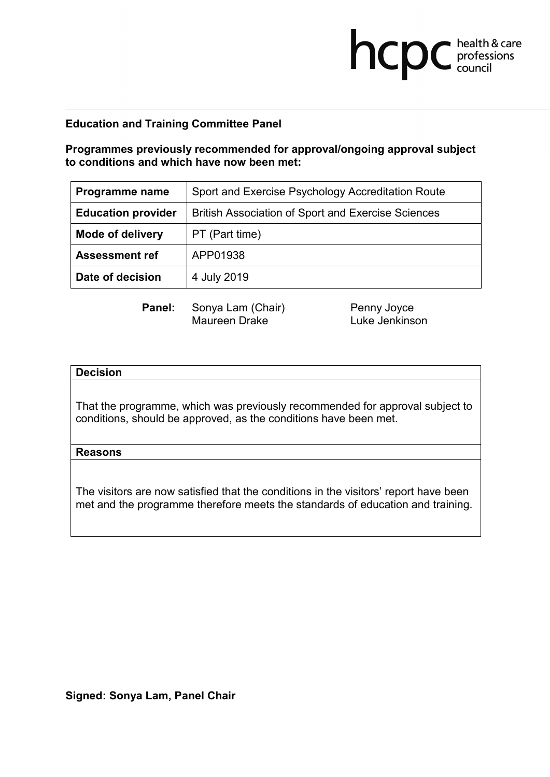**Programmes previously recommended for approval/ongoing approval subject to conditions and which have now been met:**

| Programme name            | Sport and Exercise Psychology Accreditation Route         |
|---------------------------|-----------------------------------------------------------|
| <b>Education provider</b> | <b>British Association of Sport and Exercise Sciences</b> |
| <b>Mode of delivery</b>   | PT (Part time)                                            |
| <b>Assessment ref</b>     | APP01938                                                  |
| Date of decision          | 4 July 2019                                               |

**Panel:** Sonya Lam (Chair) Penny Joyce<br>Maureen Drake **Prace Luke Jenkinson** Maureen Drake

**health & care** 

### **Decision**

That the programme, which was previously recommended for approval subject to conditions, should be approved, as the conditions have been met.

#### **Reasons**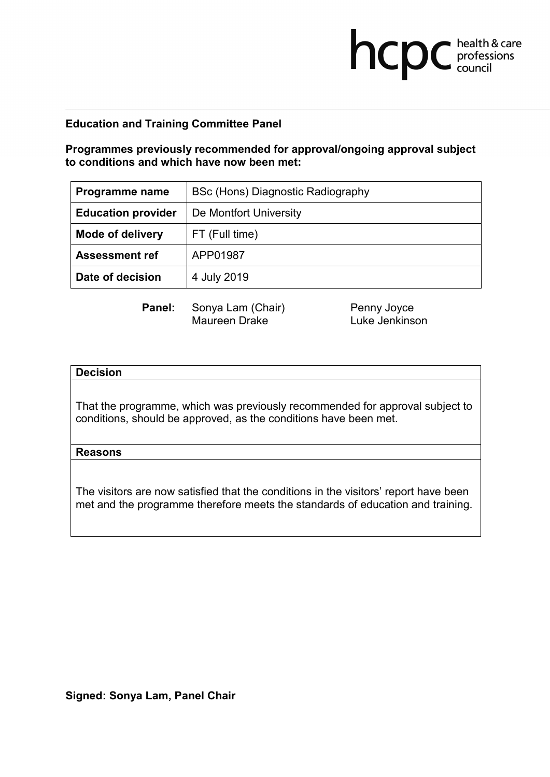**Programmes previously recommended for approval/ongoing approval subject to conditions and which have now been met:**

| Programme name            | BSc (Hons) Diagnostic Radiography |
|---------------------------|-----------------------------------|
| <b>Education provider</b> | De Montfort University            |
| <b>Mode of delivery</b>   | FT (Full time)                    |
| <b>Assessment ref</b>     | APP01987                          |
| Date of decision          | 4 July 2019                       |

Maureen Drake

**Panel:** Sonya Lam (Chair) Penny Joyce<br>Maureen Drake **Prace Luke Jenkinson** 

**health & care** 

### **Decision**

That the programme, which was previously recommended for approval subject to conditions, should be approved, as the conditions have been met.

### **Reasons**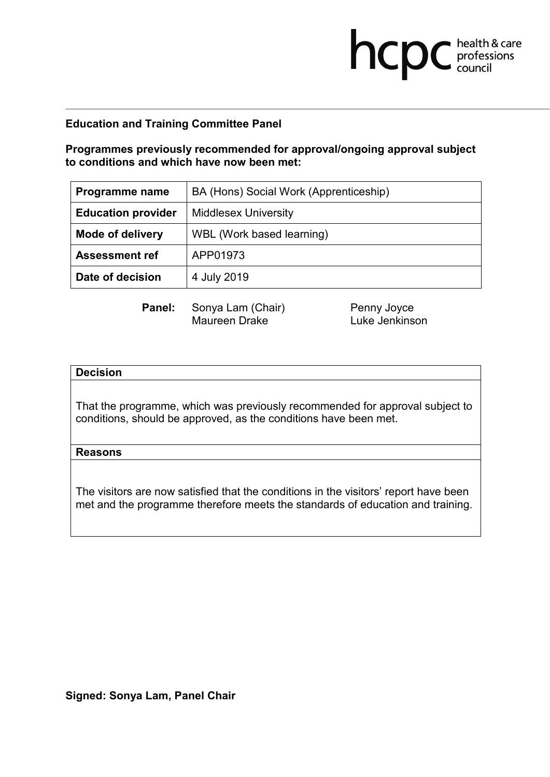**Programmes previously recommended for approval/ongoing approval subject to conditions and which have now been met:**

| Programme name            | BA (Hons) Social Work (Apprenticeship) |
|---------------------------|----------------------------------------|
| <b>Education provider</b> | <b>Middlesex University</b>            |
| <b>Mode of delivery</b>   | WBL (Work based learning)              |
| <b>Assessment ref</b>     | APP01973                               |
| Date of decision          | 4 July 2019                            |

**Panel:** Sonya Lam (Chair) Penny Joyce<br>Maureen Drake **Prace Luke Jenkinson** Maureen Drake

**health & care** 

### **Decision**

That the programme, which was previously recommended for approval subject to conditions, should be approved, as the conditions have been met.

### **Reasons**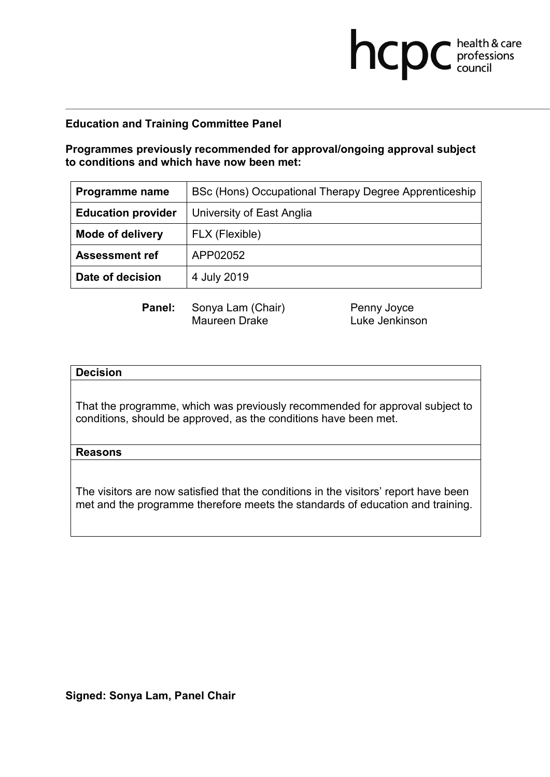**Programmes previously recommended for approval/ongoing approval subject to conditions and which have now been met:**

| Programme name            | BSc (Hons) Occupational Therapy Degree Apprenticeship |
|---------------------------|-------------------------------------------------------|
| <b>Education provider</b> | University of East Anglia                             |
| <b>Mode of delivery</b>   | FLX (Flexible)                                        |
| <b>Assessment ref</b>     | APP02052                                              |
| Date of decision          | 4 July 2019                                           |

**Panel:** Sonya Lam (Chair) Penny Joyce<br>Maureen Drake **Prace Luke Jenkinson** Maureen Drake

**health & care** 

### **Decision**

That the programme, which was previously recommended for approval subject to conditions, should be approved, as the conditions have been met.

### **Reasons**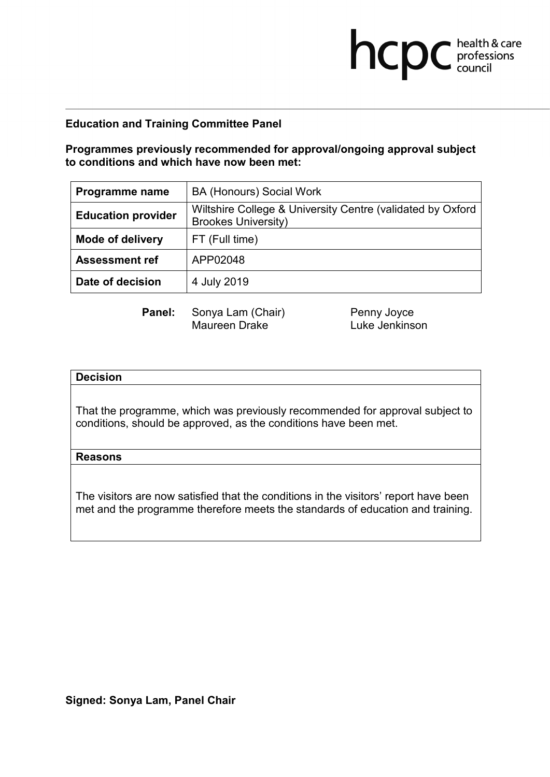## **Programmes previously recommended for approval/ongoing approval subject to conditions and which have now been met:**

| Programme name            | <b>BA (Honours) Social Work</b>                                                          |
|---------------------------|------------------------------------------------------------------------------------------|
| <b>Education provider</b> | Wiltshire College & University Centre (validated by Oxford<br><b>Brookes University)</b> |
| <b>Mode of delivery</b>   | FT (Full time)                                                                           |
| <b>Assessment ref</b>     | APP02048                                                                                 |
| Date of decision          | 4 July 2019                                                                              |

**Panel:** Sonya Lam (Chair) Penny Joyce<br>Maureen Drake Luke Jenkins

Luke Jenkinson

**health & care** 

### **Decision**

That the programme, which was previously recommended for approval subject to conditions, should be approved, as the conditions have been met.

#### **Reasons**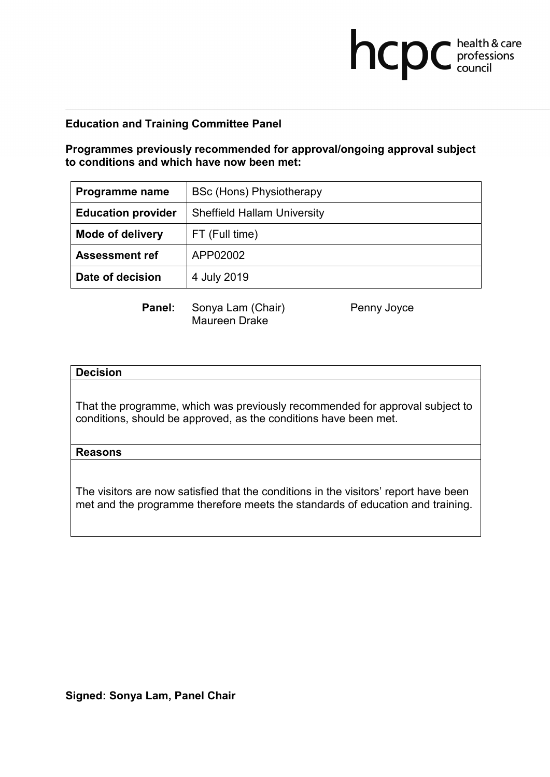**Programmes previously recommended for approval/ongoing approval subject to conditions and which have now been met:**

| Programme name            | BSc (Hons) Physiotherapy           |
|---------------------------|------------------------------------|
| <b>Education provider</b> | <b>Sheffield Hallam University</b> |
| <b>Mode of delivery</b>   | FT (Full time)                     |
| <b>Assessment ref</b>     | APP02002                           |
| Date of decision          | 4 July 2019                        |

**Panel:** Sonya Lam (Chair) Penny Joyce Maureen Drake

**health & care** 

### **Decision**

That the programme, which was previously recommended for approval subject to conditions, should be approved, as the conditions have been met.

#### **Reasons**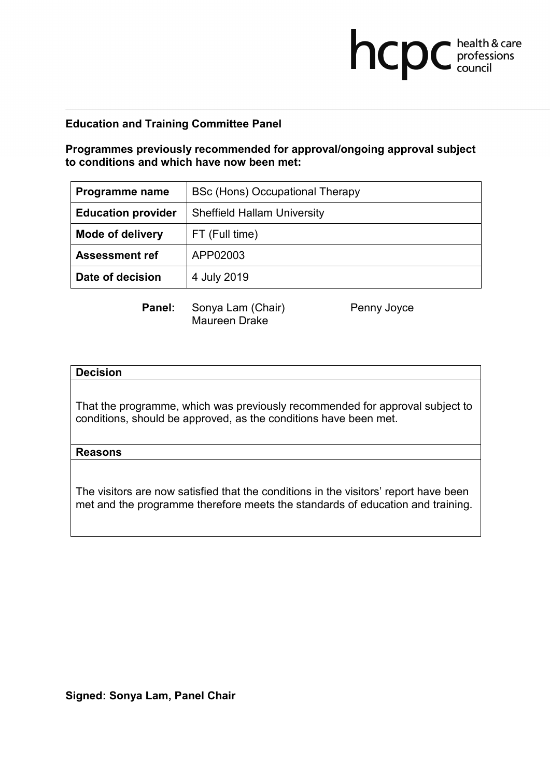**Programmes previously recommended for approval/ongoing approval subject to conditions and which have now been met:**

| Programme name            | BSc (Hons) Occupational Therapy    |
|---------------------------|------------------------------------|
| <b>Education provider</b> | <b>Sheffield Hallam University</b> |
| <b>Mode of delivery</b>   | FT (Full time)                     |
| <b>Assessment ref</b>     | APP02003                           |
| Date of decision          | 4 July 2019                        |

**Panel:** Sonya Lam (Chair) Penny Joyce Maureen Drake

**health & care** 

### **Decision**

That the programme, which was previously recommended for approval subject to conditions, should be approved, as the conditions have been met.

#### **Reasons**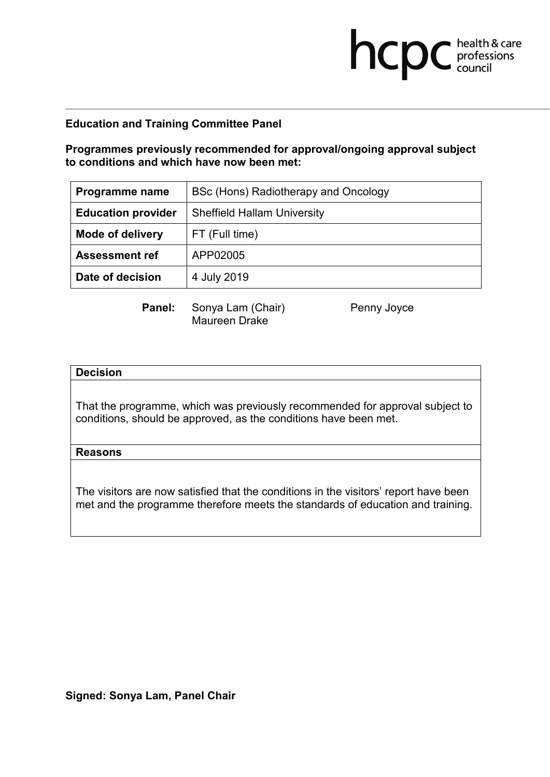**Programmes previously recommended for approval/ongoing approval subject to conditions and which have now been met:**

| Programme name            | BSc (Hons) Radiotherapy and Oncology |
|---------------------------|--------------------------------------|
| <b>Education provider</b> | <b>Sheffield Hallam University</b>   |
| <b>Mode of delivery</b>   | FT (Full time)                       |
| <b>Assessment ref</b>     | APP02005                             |
| Date of decision          | 4 July 2019                          |

**Panel:** Sonya Lam (Chair) Penny Joyce Maureen Drake

**health & care** 

### **Decision**

That the programme, which was previously recommended for approval subject to conditions, should be approved, as the conditions have been met.

#### **Reasons**

The visitors are now satisfied that the conditions in the visitors' report have been met and the programme therefore meets the standards of education and training.

### **Signed: Sonya Lam, Panel Chair**